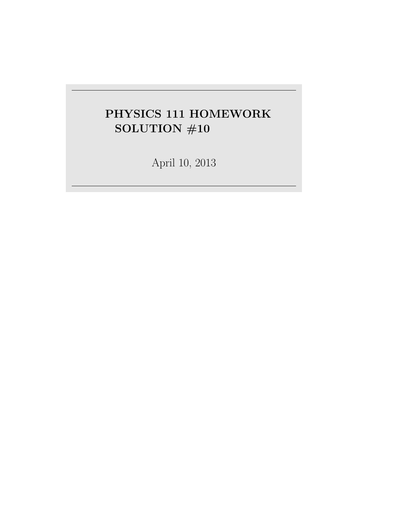# PHYSICS 111 HOMEWORK SOLUTION  $#10$

April 10, 2013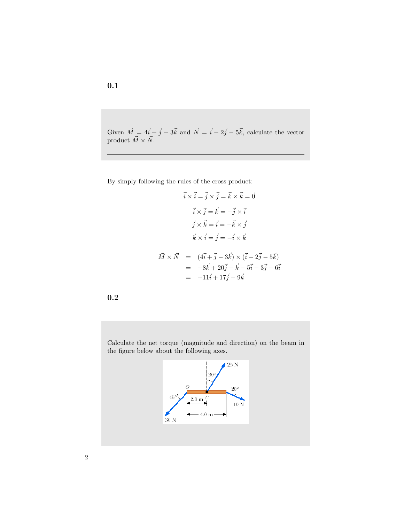Given  $\vec{M} = 4\vec{i} + \vec{j} - 3\vec{k}$  and  $\vec{N} = \vec{i} - 2\vec{j} - 5\vec{k}$ , calculate the vector product  $\vec{M} \times \vec{N}$ .

By simply following the rules of the cross product:

$$
\vec{i} \times \vec{i} = \vec{j} \times \vec{j} = \vec{k} \times \vec{k} = \vec{0}
$$
  

$$
\vec{i} \times \vec{j} = \vec{k} = -\vec{j} \times \vec{i}
$$
  

$$
\vec{j} \times \vec{k} = \vec{i} = -\vec{k} \times \vec{j}
$$
  

$$
\vec{k} \times \vec{i} = \vec{j} = -\vec{i} \times \vec{k}
$$
  

$$
\vec{M} \times \vec{N} = (4\vec{i} + \vec{j} - 3\vec{k}) \times (\vec{i} - 2\vec{j} - 5\vec{k})
$$
  

$$
= -8\vec{k} + 20\vec{j} - \vec{k} - 5\vec{i} - 3\vec{j} - 6\vec{i}
$$
  

$$
= -11\vec{i} + 17\vec{j} - 9\vec{k}
$$



Calculate the net torque (magnitude and direction) on the beam in the figure below about the following axes.

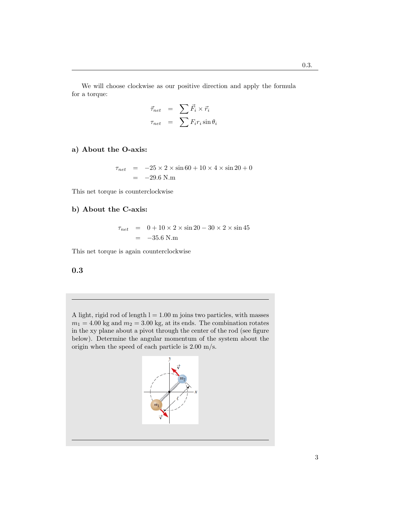We will choose clockwise as our positive direction and apply the formula for a torque:

$$
\vec{\tau}_{net} = \sum \vec{F_i} \times \vec{r_i}
$$

$$
\tau_{net} = \sum F_i r_i \sin \theta_i
$$

#### a) About the O-axis:

$$
\tau_{net} = -25 \times 2 \times \sin 60 + 10 \times 4 \times \sin 20 + 0
$$
  
= -29.6 N.m

This net torque is counterclockwise

#### b) About the C-axis:

 $\tau_{net} \quad = \quad 0 + 10 \times 2 \times \sin 20 - 30 \times 2 \times \sin 45$  $= -35.6$  N.m

This net torque is again counterclockwise

#### 0.3

A light, rigid rod of length  $l = 1.00$  m joins two particles, with masses  $m_1 = 4.00$  kg and  $m_2 = 3.00$  kg, at its ends. The combination rotates in the xy plane about a pivot through the center of the rod (see figure below). Determine the angular momentum of the system about the origin when the speed of each particle is 2.00 m/s.

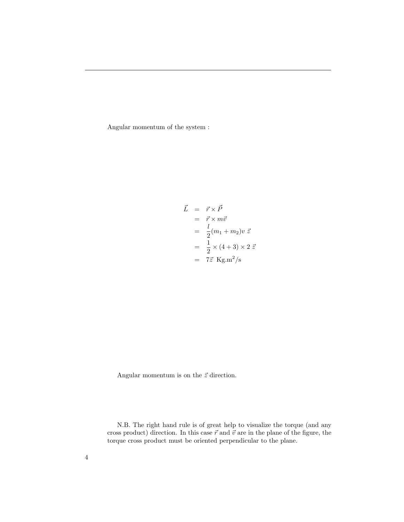Angular momentum of the system :

$$
\vec{L} = \vec{r} \times \vec{P}
$$
\n
$$
= \vec{r} \times m\vec{v}
$$
\n
$$
= \frac{l}{2}(m_1 + m_2)v \ \vec{z}
$$
\n
$$
= \frac{1}{2} \times (4+3) \times 2 \ \vec{z}
$$
\n
$$
= 7\vec{z} \text{ Kg.m}^2/\text{s}
$$

Angular momentum is on the  $\vec{z}$  direction.

N.B. The right hand rule is of great help to visualize the torque (and any cross product) direction. In this case  $\vec{r}$  and  $\vec{v}$  are in the plane of the figure, the torque cross product must be oriented perpendicular to the plane.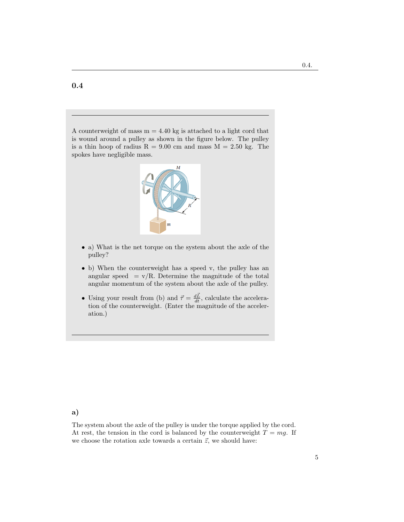0.4

A counterweight of mass  $m = 4.40$  kg is attached to a light cord that is wound around a pulley as shown in the figure below. The pulley is a thin hoop of radius  $R = 9.00$  cm and mass  $M = 2.50$  kg. The spokes have negligible mass.



- a) What is the net torque on the system about the axle of the pulley?
- b) When the counterweight has a speed v, the pulley has an angular speed  $= v/R$ . Determine the magnitude of the total angular momentum of the system about the axle of the pulley.
- Using your result from (b) and  $\vec{\tau} = \frac{d\vec{L}}{dt}$ , calculate the acceleration of the counterweight. (Enter the magnitude of the acceleration.)

a)

The system about the axle of the pulley is under the torque applied by the cord. At rest, the tension in the cord is balanced by the counterweight  $T = mg$ . If we choose the rotation axle towards a certain  $\vec{z}$ , we should have: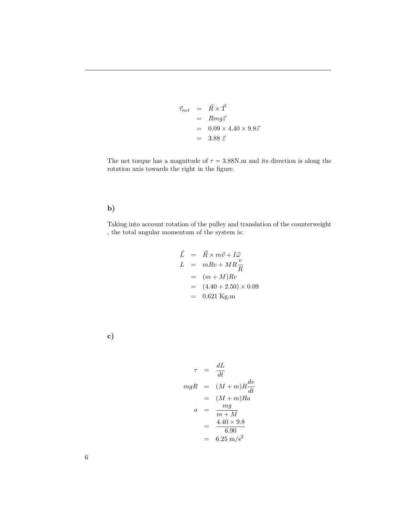$$
\vec{\tau}_{net} = \vec{R} \times \vec{T}
$$
  
=  $Rmg\vec{z}$   
=  $0.09 \times 4.40 \times 9.8\vec{z}$   
=  $3.88 \vec{z}$ 

The net torque has a magnitude of  $\tau = 3.88$ N.m and its direction is along the rotation axis towards the right in the figure.

# b)

Taking into account rotation of the pulley and translation of the counterweight , the total angular momentum of the system is:

$$
\vec{L} = \vec{R} \times m\vec{v} + I\vec{\omega}
$$
\n
$$
L = mRv + MR\frac{v}{R}
$$
\n
$$
= (m + M)Rv
$$
\n
$$
= (4.40 + 2.50) \times 0.09
$$
\n
$$
= 0.621 \text{ Kg.m}
$$

c)

$$
\tau = \frac{dL}{dt}
$$
  
\n
$$
mgR = (M+m)R\frac{dv}{dt}
$$
  
\n
$$
a = \frac{mg}{m+M}
$$
  
\n
$$
a = \frac{4.40 \times 9.8}{6.90}
$$
  
\n
$$
= 6.25 \text{ m/s}^2
$$

6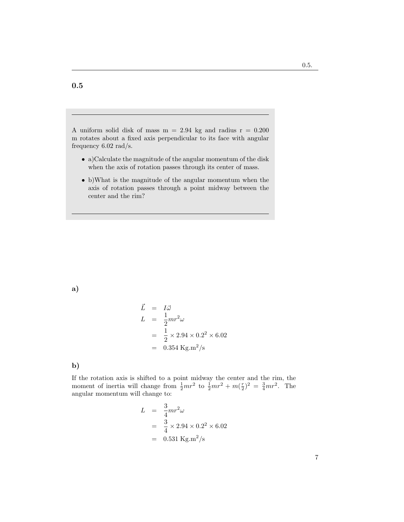0.5

A uniform solid disk of mass  $m = 2.94$  kg and radius  $r = 0.200$ m rotates about a fixed axis perpendicular to its face with angular frequency 6.02 rad/s.

- a)Calculate the magnitude of the angular momentum of the disk when the axis of rotation passes through its center of mass.
- b)What is the magnitude of the angular momentum when the axis of rotation passes through a point midway between the center and the rim?

a)

$$
\vec{L} = I\vec{\omega}
$$
\n
$$
L = \frac{1}{2}mr^2\omega
$$
\n
$$
= \frac{1}{2} \times 2.94 \times 0.2^2 \times 6.02
$$
\n
$$
= 0.354 \text{ Kg.m}^2/\text{s}
$$

b)

If the rotation axis is shifted to a point midway the center and the rim, the moment of inertia will change from  $\frac{1}{2}mr^2$  to  $\frac{1}{2}mr^2 + m(\frac{r}{2})^2 = \frac{3}{4}mr^2$ . The angular momentum will change to:

$$
L = \frac{3}{4}mr^2\omega
$$
  
=  $\frac{3}{4} \times 2.94 \times 0.2^2 \times 6.02$   
= 0.531 Kg.m<sup>2</sup>/s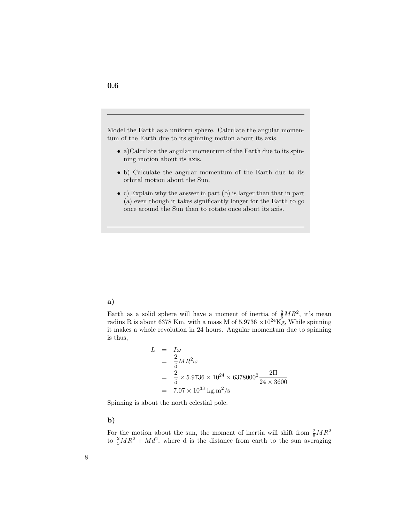Model the Earth as a uniform sphere. Calculate the angular momentum of the Earth due to its spinning motion about its axis.

- a)Calculate the angular momentum of the Earth due to its spinning motion about its axis.
- b) Calculate the angular momentum of the Earth due to its orbital motion about the Sun.
- c) Explain why the answer in part (b) is larger than that in part (a) even though it takes significantly longer for the Earth to go once around the Sun than to rotate once about its axis.

# a)

Earth as a solid sphere will have a moment of inertia of  $\frac{2}{5}MR^2$ , it's mean radius R is about 6378 Km, with a mass M of  $5.9736 \times 10^{24}$ Kg, While spinning it makes a whole revolution in 24 hours. Angular momentum due to spinning is thus,

$$
L = I\omega
$$
  
=  $\frac{2}{5}MR^2\omega$   
=  $\frac{2}{5} \times 5.9736 \times 10^{24} \times 6378000^2 \frac{2\Pi}{24 \times 3600}$   
=  $7.07 \times 10^{33} \text{ kg.m}^2/\text{s}$ 

Spinning is about the north celestial pole.

#### b)

For the motion about the sun, the moment of inertia will shift from  $\frac{2}{5}MR^2$ to  $\frac{2}{5}MR^2 + Md^2$ , where d is the distance from earth to the sun averaging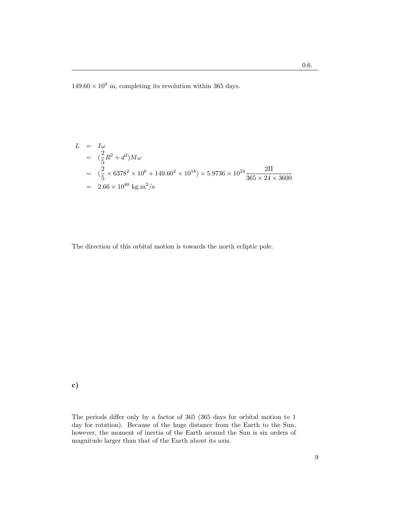$149.60 \times 10^9$  m, completing its revolution within 365 days.

$$
L = I\omega
$$
  
=  $(\frac{2}{5}R^2 + d^2)M\omega$   
=  $(\frac{2}{5} \times 6378^2 \times 10^6 + 149.60^2 \times 10^{18}) \times 5.9736 \times 10^{24} \frac{2\Pi}{365 \times 24 \times 3600}$   
=  $2.66 \times 10^{40} \text{ kg.m}^2/\text{s}$ 

The direction of this orbital motion is towards the north ecliptic pole.

c)

The periods differ only by a factor of 365 (365 days for orbital motion to 1 day for rotation). Because of the huge distance from the Earth to the Sun, however, the moment of inertia of the Earth around the Sun is six orders of magnitude larger than that of the Earth about its axis.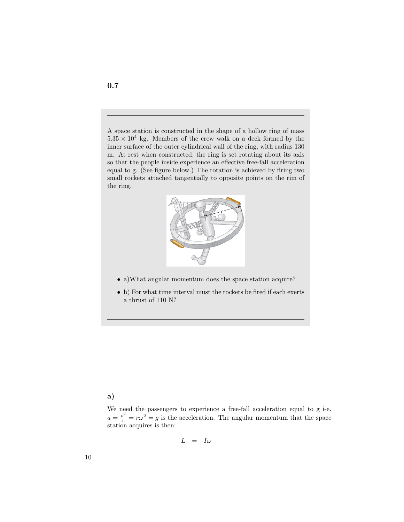A space station is constructed in the shape of a hollow ring of mass  $5.35 \times 10^4$  kg. Members of the crew walk on a deck formed by the inner surface of the outer cylindrical wall of the ring, with radius 130 m. At rest when constructed, the ring is set rotating about its axis so that the people inside experience an effective free-fall acceleration equal to g. (See figure below.) The rotation is achieved by firing two small rockets attached tangentially to opposite points on the rim of the ring.



- a)What angular momentum does the space station acquire?
- b) For what time interval must the rockets be fired if each exerts a thrust of 110 N?

#### a)

We need the passengers to experience a free-fall acceleration equal to g i-e.  $a = \frac{v^2}{r} = r\omega^2 = g$  is the acceleration. The angular momentum that the space station acquires is then:

$$
L \quad = \quad I \omega
$$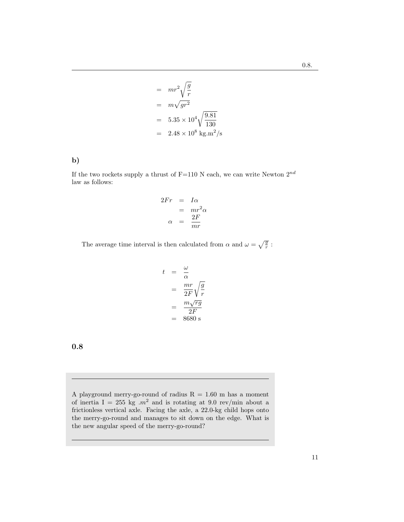$$
= mr2 \sqrt{\frac{g}{r}}
$$
  

$$
= m \sqrt{gr2}
$$
  

$$
= 5.35 \times 104 \sqrt{\frac{9.81}{130}}
$$
  

$$
= 2.48 \times 108 \text{ kg.m}2/\text{s}
$$

b)

If the two rockets supply a thrust of F=110 N each, we can write Newton  $2^{nd}$ law as follows:

$$
2Fr = I\alpha
$$
  
=  $mr^2\alpha$   
 $\alpha = \frac{2F}{mr}$ 

The average time interval is then calculated from  $\alpha$  and  $\omega = \sqrt{\frac{g}{r}}$ :

$$
t = \frac{\omega}{\alpha}
$$
  
= 
$$
\frac{mr}{2F} \sqrt{\frac{g}{r}}
$$
  
= 
$$
\frac{m\sqrt{rg}}{2F}
$$
  
= 8680 s

0.8

A playground merry-go-round of radius  $R = 1.60$  m has a moment of inertia I = 255 kg  $m^2$  and is rotating at 9.0 rev/min about a frictionless vertical axle. Facing the axle, a 22.0-kg child hops onto the merry-go-round and manages to sit down on the edge. What is the new angular speed of the merry-go-round?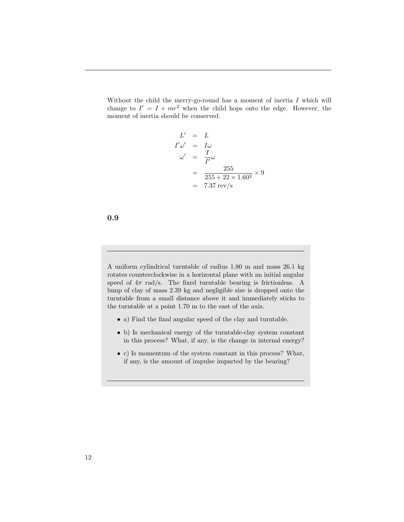Without the child the merry-go-round has a moment of inertia  $I$  which will change to  $I' = I + mr^2$  when the child hops onto the edge. However, the moment of inertia should be conserved.

$$
L' = L
$$
  
\n
$$
I'\omega' = I\omega
$$
  
\n
$$
\omega' = \frac{I}{I'}\omega
$$
  
\n
$$
= \frac{255}{255 + 22 \times 1.60^2} \times 9
$$
  
\n
$$
= 7.37 \text{ rev/s}
$$

0.9

A uniform cylindrical turntable of radius 1.80 m and mass 26.1 kg rotates counterclockwise in a horizontal plane with an initial angular speed of  $4\pi$  rad/s. The fixed turntable bearing is frictionless. A lump of clay of mass 2.39 kg and negligible size is dropped onto the turntable from a small distance above it and immediately sticks to the turntable at a point 1.70 m to the east of the axis.

- a) Find the final angular speed of the clay and turntable.
- b) Is mechanical energy of the turntable-clay system constant in this process? What, if any, is the change in internal energy?
- c) Is momentum of the system constant in this process? What, if any, is the amount of impulse imparted by the bearing?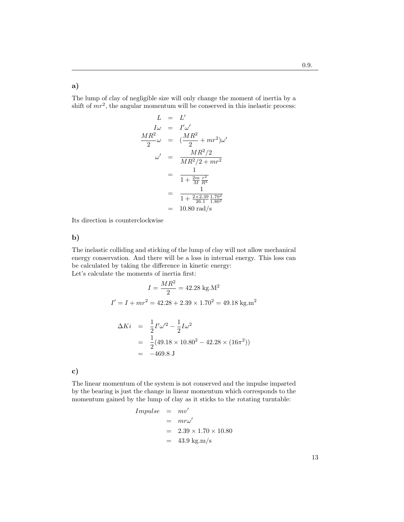## a)

The lump of clay of negligible size will only change the moment of inertia by a shift of  $mr^2$ , the angular momentum will be conserved in this inelastic process:

$$
L = L'
$$
  
\n
$$
I\omega = I'\omega'
$$
  
\n
$$
\frac{MR^2}{2}\omega = (\frac{MR^2}{2} + mr^2)\omega'
$$
  
\n
$$
\omega' = \frac{MR^2/2}{MR^2/2 + mr^2}
$$
  
\n
$$
= \frac{1}{1 + \frac{2m}{M} \frac{r^2}{R^2}}
$$
  
\n
$$
= \frac{1}{1 + \frac{2 \times 2.39}{26.1} \frac{1.70^2}{1.80^2}}
$$
  
\n
$$
= 10.80 \text{ rad/s}
$$

Its direction is counterclockwise

#### b)

The inelastic colliding and sticking of the lump of clay will not allow mechanical energy conservation. And there will be a loss in internal energy. This loss can be calculated by taking the difference in kinetic energy: Let's calculate the moments of inertia first:

$$
I = \frac{MR^2}{2} = 42.28 \text{ kg.M}^2
$$
  
\n
$$
I' = I + mr^2 = 42.28 + 2.39 \times 1.70^2 = 49.18 \text{ kg.m}^2
$$
  
\n
$$
\Delta Ki = \frac{1}{2}I'\omega'^2 - \frac{1}{2}I\omega^2
$$
  
\n
$$
= \frac{1}{2}(49.18 \times 10.80^2 - 42.28 \times (16\pi^2))
$$
  
\n
$$
= -469.8 \text{ J}
$$

c)

The linear momentum of the system is not conserved and the impulse imparted by the bearing is just the change in linear momentum which corresponds to the momentum gained by the lump of clay as it sticks to the rotating turntable:

$$
Impulse = mv'
$$
  
=  $mr\omega'$   
=  $2.39 \times 1.70 \times 10.80$   
=  $43.9 \text{ kg.m/s}$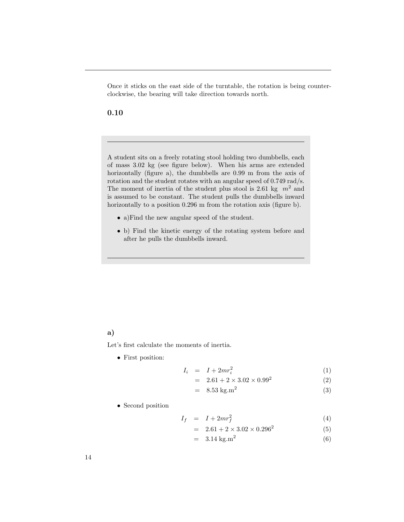Once it sticks on the east side of the turntable, the rotation is being counterclockwise, the bearing will take direction towards north.

## 0.10

A student sits on a freely rotating stool holding two dumbbells, each of mass 3.02 kg (see figure below). When his arms are extended horizontally (figure a), the dumbbells are 0.99 m from the axis of rotation and the student rotates with an angular speed of 0.749 rad/s. The moment of inertia of the student plus stool is 2.61 kg  $m^2$  and is assumed to be constant. The student pulls the dumbbells inward horizontally to a position 0.296 m from the rotation axis (figure b).

- a)Find the new angular speed of the student.
- b) Find the kinetic energy of the rotating system before and after he pulls the dumbbells inward.

#### a)

Let's first calculate the moments of inertia.

• First position:

$$
I_i = I + 2mr_i^2 \tag{1}
$$

$$
= 2.61 + 2 \times 3.02 \times 0.99^2 \tag{2}
$$

$$
= 8.53 \text{ kg.m}^2 \tag{3}
$$

• Second position

$$
I_f = I + 2mr_f^2 \tag{4}
$$

$$
= 2.61 + 2 \times 3.02 \times 0.296^2 \tag{5}
$$

$$
= 3.14 \text{ kg.m}^2 \tag{6}
$$